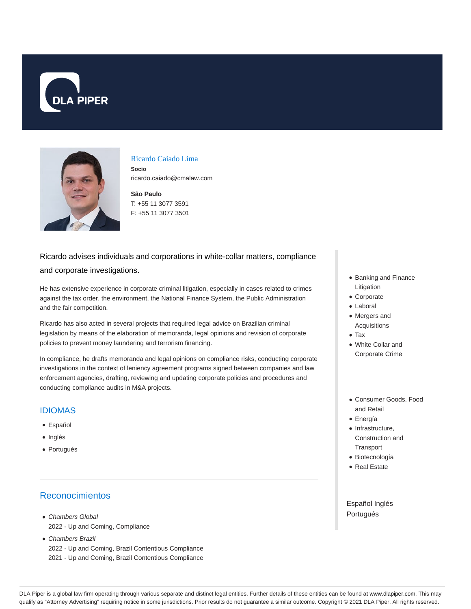



#### Ricardo Caiado Lima

**Socio** ricardo.caiado@cmalaw.com

#### **São Paulo** T: +55 11 3077 3591 F: +55 11 3077 3501

# Ricardo advises individuals and corporations in white-collar matters, compliance and corporate investigations.

He has extensive experience in corporate criminal litigation, especially in cases related to crimes against the tax order, the environment, the National Finance System, the Public Administration and the fair competition.

Ricardo has also acted in several projects that required legal advice on Brazilian criminal legislation by means of the elaboration of memoranda, legal opinions and revision of corporate policies to prevent money laundering and terrorism financing.

In compliance, he drafts memoranda and legal opinions on compliance risks, conducting corporate investigations in the context of leniency agreement programs signed between companies and law enforcement agencies, drafting, reviewing and updating corporate policies and procedures and conducting compliance audits in M&A projects.

### IDIOMAS

- Español
- Inglés
- Portugués

## Reconocimientos

- Chambers Global 2022 - Up and Coming, Compliance
- Chambers Brazil 2022 - Up and Coming, Brazil Contentious Compliance 2021 - Up and Coming, Brazil Contentious Compliance
- Banking and Finance Litigation
- Corporate
- Laboral
- Mergers and Acquisitions
- Tax
- White Collar and Corporate Crime
- Consumer Goods, Food and Retail
- Energía
- $\bullet$  Infrastructure, Construction and **Transport**
- Biotecnología
- Real Estate

Español Inglés Portugués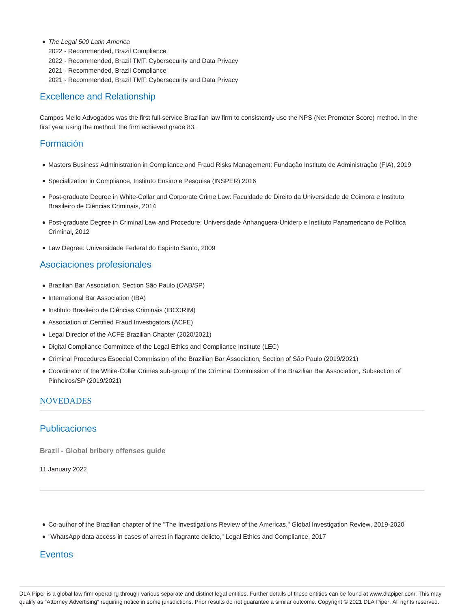- The Legal 500 Latin America
	- 2022 Recommended, Brazil Compliance
	- 2022 Recommended, Brazil TMT: Cybersecurity and Data Privacy
	- 2021 Recommended, Brazil Compliance
	- 2021 Recommended, Brazil TMT: Cybersecurity and Data Privacy

### Excellence and Relationship

Campos Mello Advogados was the first full-service Brazilian law firm to consistently use the NPS (Net Promoter Score) method. In the first year using the method, the firm achieved grade 83.

#### Formación

- Masters Business Administration in Compliance and Fraud Risks Management: Fundação Instituto de Administração (FIA), 2019
- Specialization in Compliance, Instituto Ensino e Pesquisa (INSPER) 2016
- Post-graduate Degree in White-Collar and Corporate Crime Law: Faculdade de Direito da Universidade de Coimbra e Instituto Brasileiro de Ciências Criminais, 2014
- Post-graduate Degree in Criminal Law and Procedure: Universidade Anhanguera-Uniderp e Instituto Panamericano de Política Criminal, 2012
- Law Degree: Universidade Federal do Espírito Santo, 2009

#### Asociaciones profesionales

- Brazilian Bar Association, Section São Paulo (OAB/SP)
- International Bar Association (IBA)
- Instituto Brasileiro de Ciências Criminais (IBCCRIM)
- Association of Certified Fraud Investigators (ACFE)
- Legal Director of the ACFE Brazilian Chapter (2020/2021)
- Digital Compliance Committee of the Legal Ethics and Compliance Institute (LEC)
- Criminal Procedures Especial Commission of the Brazilian Bar Association, Section of São Paulo (2019/2021)
- Coordinator of the White-Collar Crimes sub-group of the Criminal Commission of the Brazilian Bar Association, Subsection of Pinheiros/SP (2019/2021)

#### **NOVEDADES**

#### Publicaciones

**Brazil - Global bribery offenses guide**

11 January 2022

- Co-author of the Brazilian chapter of the "The Investigations Review of the Americas," Global Investigation Review, 2019-2020
- "WhatsApp data access in cases of arrest in flagrante delicto," Legal Ethics and Compliance, 2017

### **Eventos**

DLA Piper is a global law firm operating through various separate and distinct legal entities. Further details of these entities can be found at www.dlapiper.com. This may qualify as "Attorney Advertising" requiring notice in some jurisdictions. Prior results do not guarantee a similar outcome. Copyright @ 2021 DLA Piper. All rights reserved.